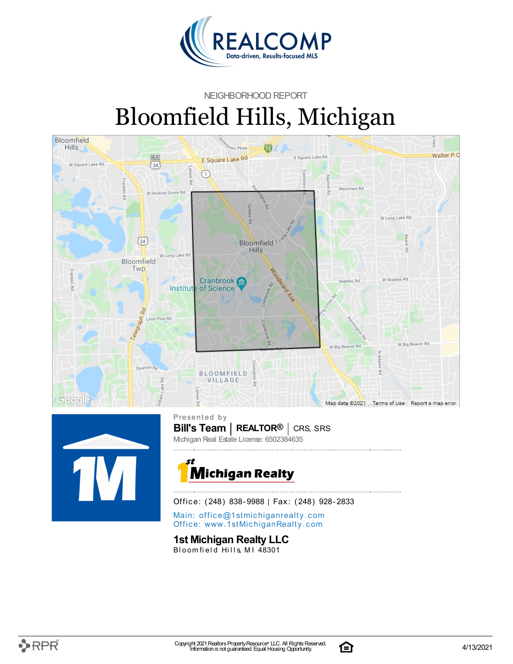

#### NEIGHBORHOOD REPORT

# Bloomfield Hills, Michigan





**Bill's Team** | **REALTOR<sup>®</sup>** | CRS, SRS Presented by Michigan Real Estate License: 6502384635



Office: (248) 838-9988 | Fax: (248) 928-2833

Main: o[ffi](mailto:office@1stmichiganrealty.com)ce@1stmichiganrealty.com Office: [www.](https://www.1stmichiganrealty.com/)1stMichiganRealty.com

**1st Michigan Realty LLC**

Bloomfield Hills, MI 48301

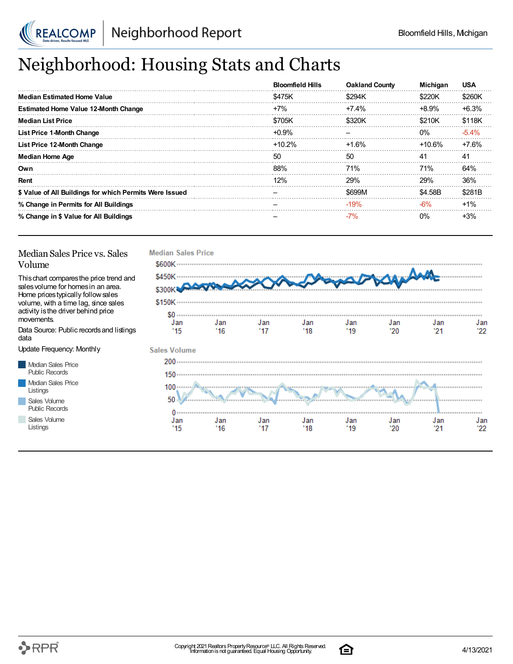

## Neighborhood: Housing Stats and Charts

|                                                         | <b>Bloomfield Hills</b> | <b>Oakland County</b> | <b>Michigan</b> | <b>USA</b> |
|---------------------------------------------------------|-------------------------|-----------------------|-----------------|------------|
| <b>Median Estimated Home Value</b>                      | \$475K                  | \$294K                | \$220K          | \$260K     |
| <b>Estimated Home Value 12-Month Change</b>             | $+7%$                   | $+7.4\%$              | +8.9%           | $+6.3%$    |
| <b>Median List Price</b>                                | \$705K                  | \$320K                | \$210K          | \$118K     |
| <b>List Price 1-Month Change</b>                        | $+0.9%$                 |                       | $0\%$           | $-5.4%$    |
| List Price 12-Month Change                              | $+10.2%$                | +1.6%                 | $+10.6\%$       | $+7.6%$    |
| <b>Median Home Age</b>                                  | 50                      | 50                    | 41              | 41         |
| Own                                                     | 88%                     | 71%                   | 71%             | 64%        |
| Rent                                                    | 12%                     | 29%                   | 29%             | 36%        |
| \$ Value of All Buildings for which Permits Were Issued |                         | \$699M                | \$4.58B         | \$281B     |
| % Change in Permits for All Buildings                   |                         | $-19%$                | -6%             | $+1\%$     |
| % Change in \$ Value for All Buildings                  |                         | $-7%$                 | 0%              | +3%        |

### Median Sales Price vs. Sales Volume

Thischart comparesthe price trend and salesvolume for homesin an area. Home pricestypically followsales volume, with a time lag, since sales activity is the driver behind price movements.

Data Source: Public recordsand listings data

Update Frequency: Monthly

Median Sales Price Public Records Median Sales Price Listings Sales Volume

Public Records

Sales Volume Listings



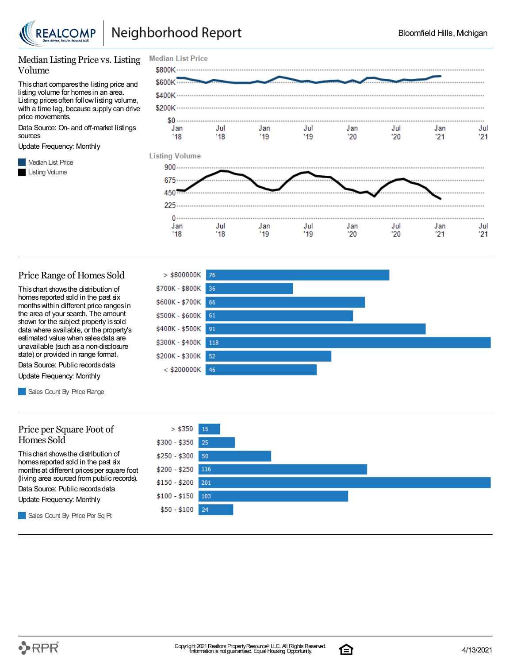

Jan

 $'18$ 

Jan

 $'19$ 

Jul

'18

Jan

 $21$ 

Jul

 $21$ 

Jul

'20

### Median Listing Price vs. Listing Volume

Thischart comparesthe listing price and listing volume for homesin an area. Listing prices often follow listing volume, with a time lag, because supply can drive price movements.

Data Source: On- and off-market listings sources

Update Frequency: Monthly

**Median List Price** Listing Volume



Jul

 $'19$ 

Jan

 $20$ 

#### Price Range of Homes Sold

Thischart showsthe distribution of homes reported sold in the past six monthswithin different price rangesin the area of your search. The amount shown for the subject property issold data where available, or the property's estimated value when salesdata are unavailable (such asa non-disclosure state) or provided in range format.

Data Source: Public records data Update Frequency: Monthly

Sales Count By Price Range

#### Price per Square Foot of Homes Sold

Thischart showsthe distribution of homes reported sold in the past six monthsat different pricesper square foot (living area sourced from public records).

Data Source: Public records data

Update Frequency: Monthly

Sales Count By Price Per Sq Ft





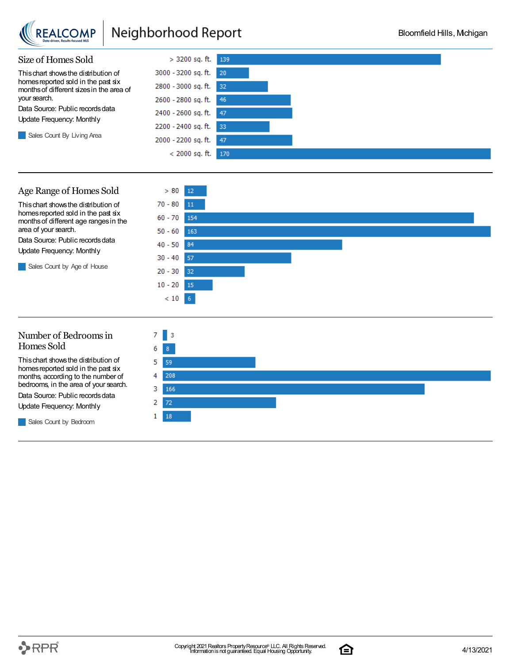

## Neighborhood Report



### Age Range of Homes Sold

Thischart showsthe distribution of homes reported sold in the past six monthsof different age rangesin the area of your search.

Data Source: Public records data Update Frequency: Monthly

Sales Count by Age of House



### Number of Bedroomsin Homes Sold

Thischart showsthe distribution of homes reported sold in the past six months, according to the number of bedrooms, in the area of your search. Data Source: Public records data Update Frequency: Monthly

Sales Count by Bedroom



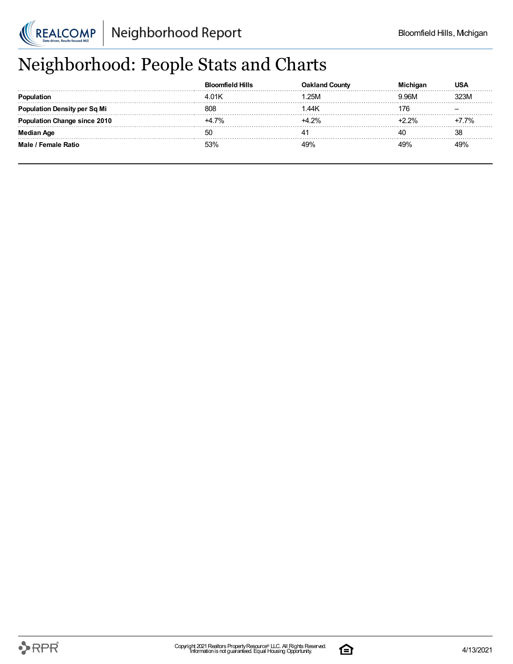

## Neighborhood: People Stats and Charts

|                                     | mfield Hills | ountv            |        |       |
|-------------------------------------|--------------|------------------|--------|-------|
|                                     | 4.01K        | .25M             | 9.96M  | 323M  |
| <b>Population Density per Sq Mi</b> | 808          | .44 <sub>K</sub> | 176    |       |
| tion Change since 2010              | $+47%$       | +4 2%            | $-22%$ | +7.7% |
| Median Age                          | -50          | 4                |        | 38    |
| Male / Female Ratio                 | 53%          | 19%              | 10%    | 49%   |

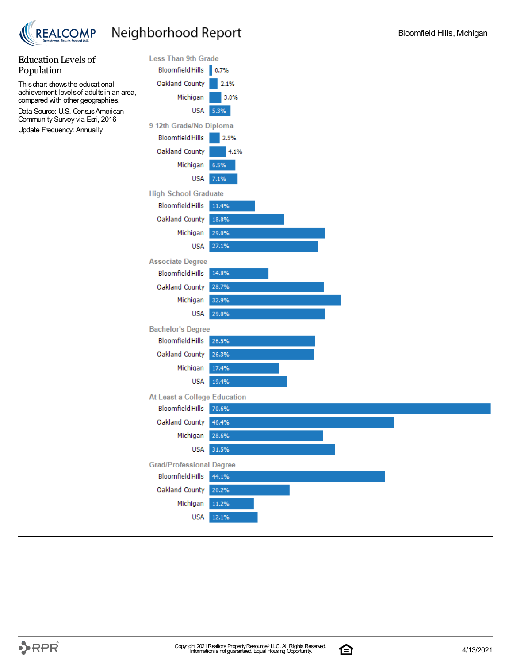

**REALCOMP** 



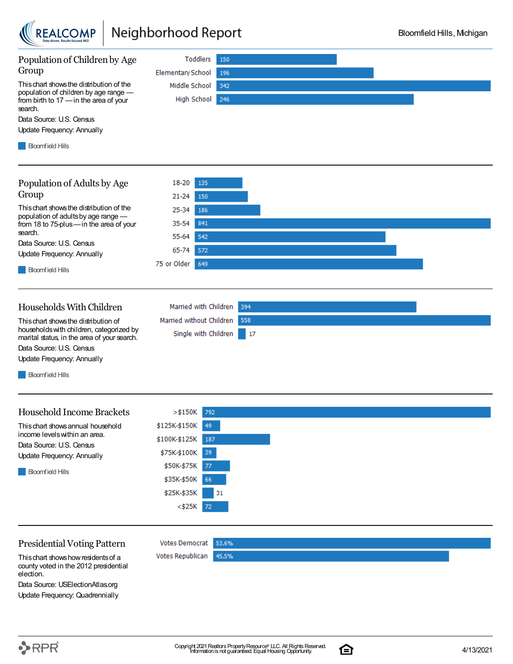

### Neighborhood Report

\$25K-\$35K

 $<$ \$25K

**Votes Democrat** 

Votes Republican

31

53.6%

45.5%

72



### Presidential Voting Pattern

Thischart showshowresidentsof a county voted in the 2012 presidential election.

Data Source: USElectionAtlas.org Update Frequency: Quadrennially

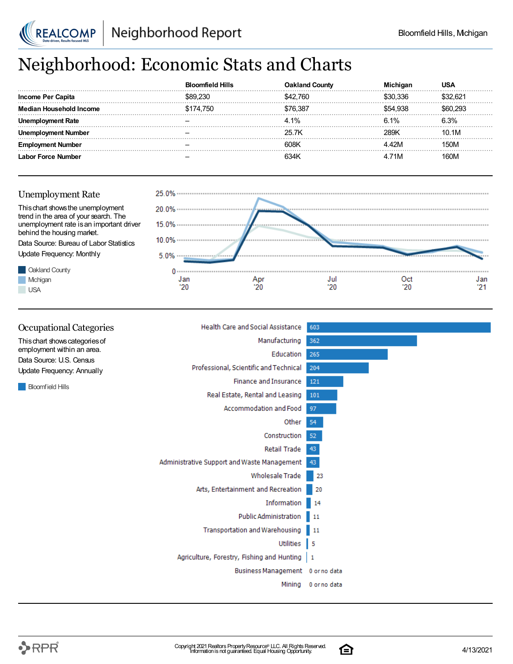

## Neighborhood: Economic Stats and Charts

|                   | <b>Bloomfield Hills</b> | ountv    | nigar    | USA     |
|-------------------|-------------------------|----------|----------|---------|
| Income Per Capita |                         | .760     | \$30.336 | 222 R21 |
| usehold Income    | \$174,750               | \$76.387 | 554 938  |         |
| ment Rate         |                         | 4.1%     | 6.1%     | 3.3%    |
| : Number          |                         | 25.7K    | 28.9K    | 10.1M   |
| : Number          |                         | 608k     | 42M      | 150M    |
| r Force Number    |                         | 634k     | 71M      | 160M    |





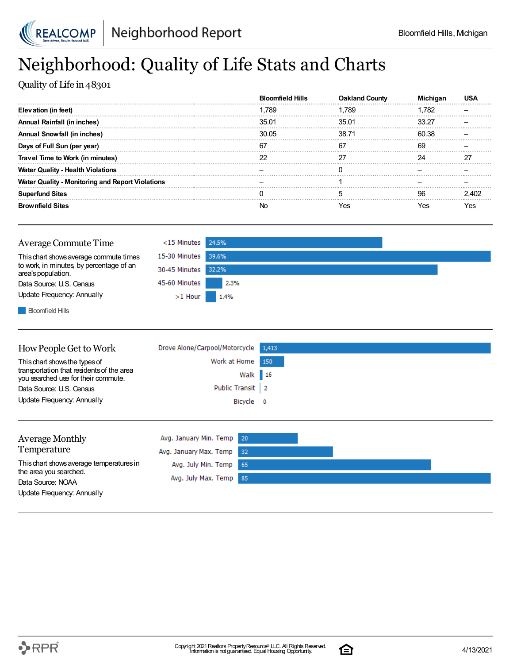

## Neighborhood: Quality of Life Stats and Charts

Quality of Life in 48301

|                                                         | <b>Bloomfield Hills</b> | <b>Oakland County</b> |       |       |
|---------------------------------------------------------|-------------------------|-----------------------|-------|-------|
| Elevation (in feet)                                     | 1.789                   | 1.789                 | .782  |       |
| Annual Rainfall (in inches)                             | 35.01                   | 35.01                 | 33.27 |       |
| <b>Annual Snowfall (in inches)</b>                      | 30.05                   | 38.71                 | 60.38 |       |
| Days of Full Sun (per year)                             | 67                      | 67                    | 69    |       |
| Travel Time to Work (in minutes)                        |                         |                       |       |       |
| <b>Water Quality - Health Violations</b>                |                         |                       |       |       |
| <b>Water Quality - Monitoring and Report Violations</b> |                         |                       |       |       |
| <b>Superfund Sites</b>                                  |                         |                       |       | 2.402 |
| <b>Brownfield Sites</b>                                 |                         | Yes                   | es?   | Yes   |

| Average Commute Time                                           | $<$ 15 Minutes 24.5% |      |
|----------------------------------------------------------------|----------------------|------|
| This chart shows average commute times                         | 15-30 Minutes 39.6%  |      |
| to work, in minutes, by percentage of an<br>area's population. | 30-45 Minutes 32.2%  |      |
| Data Source: U.S. Census                                       | 45-60 Minutes        | 2.3% |
| Update Frequency: Annually                                     | $>1$ Hour            | 1.4% |
|                                                                |                      |      |

**Bloomfield Hills** 

| This chart shows the types of                                                    | Work at Home 150 |  |
|----------------------------------------------------------------------------------|------------------|--|
|                                                                                  |                  |  |
| transportation that residents of the area<br>you searched use for their commute. | Walk 16          |  |
| Data Source: U.S. Census                                                         | Public Transit 2 |  |
| Update Frequency: Annually                                                       | Bicycle 0        |  |

| <b>Average Monthly</b>                      | Avg. January Min. Temp 20 |  |  |
|---------------------------------------------|---------------------------|--|--|
| Temperature                                 | Avg. January Max. Temp 32 |  |  |
| This chart shows average temperatures in    | Avg. July Min. Temp 65    |  |  |
| the area you searched.<br>Data Source: NOAA | Avg. July Max. Temp 85    |  |  |
| Update Frequency: Annually                  |                           |  |  |